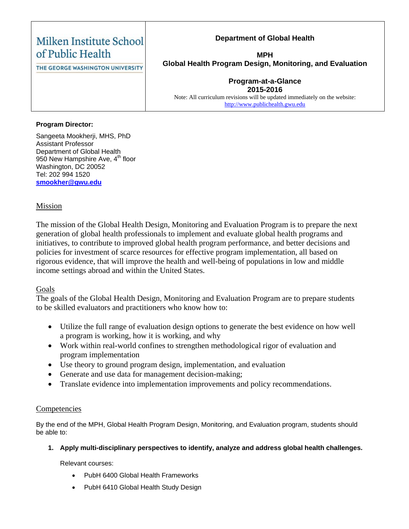| Milken Institute School<br>of Public Health | <b>Department of Global Health</b><br><b>MPH</b>                                                                                                         |  |
|---------------------------------------------|----------------------------------------------------------------------------------------------------------------------------------------------------------|--|
| THE GEORGE WASHINGTON UNIVERSITY            | Global Health Program Design, Monitoring, and Evaluation                                                                                                 |  |
|                                             | <b>Program-at-a-Glance</b><br>2015-2016<br>Note: All curriculum revisions will be updated immediately on the website:<br>http://www.publichealth.gwu.edu |  |

## **Program Director:**

Sangeeta Mookherji, MHS, PhD Assistant Professor Department of Global Health 950 New Hampshire Ave,  $4<sup>th</sup>$  floor Washington, DC 20052 Tel: 202 994 1520 **[smookher@gwu.edu](mailto:smookher@gwu.edu)**

# Mission

The mission of the Global Health Design, Monitoring and Evaluation Program is to prepare the next generation of global health professionals to implement and evaluate global health programs and initiatives, to contribute to improved global health program performance, and better decisions and policies for investment of scarce resources for effective program implementation, all based on rigorous evidence, that will improve the health and well-being of populations in low and middle income settings abroad and within the United States.

# Goals

The goals of the Global Health Design, Monitoring and Evaluation Program are to prepare students to be skilled evaluators and practitioners who know how to:

- Utilize the full range of evaluation design options to generate the best evidence on how well a program is working, how it is working, and why
- Work within real-world confines to strengthen methodological rigor of evaluation and program implementation
- Use theory to ground program design, implementation, and evaluation
- Generate and use data for management decision-making;
- Translate evidence into implementation improvements and policy recommendations.

# **Competencies**

By the end of the MPH, Global Health Program Design, Monitoring, and Evaluation program, students should be able to:

#### **1. Apply multi-disciplinary perspectives to identify, analyze and address global health challenges.**

Relevant courses:

- PubH 6400 Global Health Frameworks
- PubH 6410 Global Health Study Design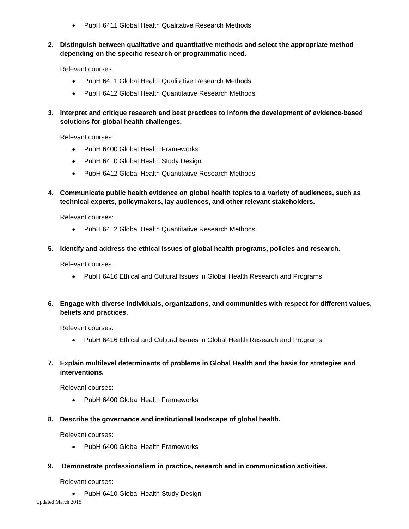- PubH 6411 Global Health Qualitative Research Methods
- **2. Distinguish between qualitative and quantitative methods and select the appropriate method depending on the specific research or programmatic need.**

Relevant courses:

- PubH 6411 Global Health Qualitative Research Methods
- PubH 6412 Global Health Quantitative Research Methods
- **3. Interpret and critique research and best practices to inform the development of evidence-based solutions for global health challenges.**

Relevant courses:

- PubH 6400 Global Health Frameworks
- PubH 6410 Global Health Study Design
- PubH 6412 Global Health Quantitative Research Methods
- **4. Communicate public health evidence on global health topics to a variety of audiences, such as technical experts, policymakers, lay audiences, and other relevant stakeholders.**

Relevant courses:

- PubH 6412 Global Health Quantitative Research Methods
- **5. Identify and address the ethical issues of global health programs, policies and research.**

Relevant courses:

- PubH 6416 Ethical and Cultural Issues in Global Health Research and Programs
- **6. Engage with diverse individuals, organizations, and communities with respect for different values, beliefs and practices.**

Relevant courses:

- PubH 6416 Ethical and Cultural Issues in Global Health Research and Programs
- **7. Explain multilevel determinants of problems in Global Health and the basis for strategies and interventions.**

Relevant courses:

- PubH 6400 Global Health Frameworks
- **8. Describe the governance and institutional landscape of global health.**

Relevant courses:

- PubH 6400 Global Health Frameworks
- **9. Demonstrate professionalism in practice, research and in communication activities.**

Relevant courses:

• PubH 6410 Global Health Study Design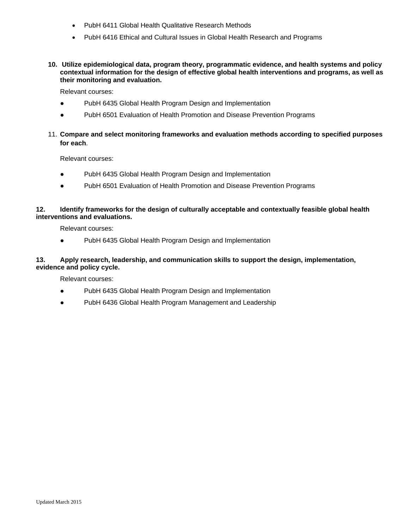- PubH 6411 Global Health Qualitative Research Methods
- PubH 6416 Ethical and Cultural Issues in Global Health Research and Programs
- **10. Utilize epidemiological data, program theory, programmatic evidence, and health systems and policy contextual information for the design of effective global health interventions and programs, as well as their monitoring and evaluation.**

Relevant courses:

- PubH 6435 Global Health Program Design and Implementation
- PubH 6501 Evaluation of Health Promotion and Disease Prevention Programs
- 11. **Compare and select monitoring frameworks and evaluation methods according to specified purposes for each**.

Relevant courses:

- PubH 6435 Global Health Program Design and Implementation
- PubH 6501 Evaluation of Health Promotion and Disease Prevention Programs

#### **12. Identify frameworks for the design of culturally acceptable and contextually feasible global health interventions and evaluations.**

Relevant courses:

PubH 6435 Global Health Program Design and Implementation

#### **13. Apply research, leadership, and communication skills to support the design, implementation, evidence and policy cycle.**

Relevant courses:

- PubH 6435 Global Health Program Design and Implementation
- PubH 6436 Global Health Program Management and Leadership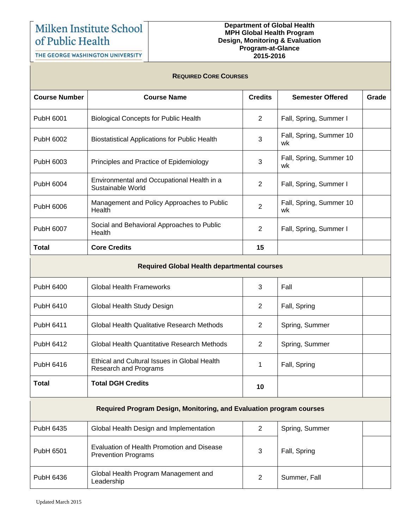# Milken Institute School of Public Health

#### **Department of Global Health MPH Global Health Program Design, Monitoring & Evaluation Program-at-Glance 2015-2016**

THE GEORGE WASHINGTON UNIVERSITY

## **REQUIRED CORE COURSES**

| <b>Course Number</b>                                                | <b>Course Name</b>                                                           | <b>Credits</b> | <b>Semester Offered</b>        | Grade |  |  |  |
|---------------------------------------------------------------------|------------------------------------------------------------------------------|----------------|--------------------------------|-------|--|--|--|
| PubH 6001                                                           | <b>Biological Concepts for Public Health</b>                                 | 2              | Fall, Spring, Summer I         |       |  |  |  |
| PubH 6002                                                           | <b>Biostatistical Applications for Public Health</b>                         | 3              | Fall, Spring, Summer 10<br>wk  |       |  |  |  |
| PubH 6003                                                           | Principles and Practice of Epidemiology                                      | 3              | Fall, Spring, Summer 10<br>wk. |       |  |  |  |
| PubH 6004                                                           | Environmental and Occupational Health in a<br>Sustainable World              | 2              | Fall, Spring, Summer I         |       |  |  |  |
| PubH 6006                                                           | Management and Policy Approaches to Public<br>Health                         | $\overline{2}$ | Fall, Spring, Summer 10<br>wk  |       |  |  |  |
| PubH 6007                                                           | Social and Behavioral Approaches to Public<br>Health                         | $\overline{2}$ | Fall, Spring, Summer I         |       |  |  |  |
| <b>Total</b>                                                        | <b>Core Credits</b>                                                          | 15             |                                |       |  |  |  |
|                                                                     | <b>Required Global Health departmental courses</b>                           |                |                                |       |  |  |  |
| PubH 6400                                                           | <b>Global Health Frameworks</b>                                              | 3              | Fall                           |       |  |  |  |
| PubH 6410                                                           | Global Health Study Design                                                   | 2              | Fall, Spring                   |       |  |  |  |
| PubH 6411                                                           | Global Health Qualitative Research Methods                                   | 2              | Spring, Summer                 |       |  |  |  |
| PubH 6412                                                           | <b>Global Health Quantitative Research Methods</b>                           | 2              | Spring, Summer                 |       |  |  |  |
| PubH 6416                                                           | Ethical and Cultural Issues in Global Health<br><b>Research and Programs</b> | 1              | Fall, Spring                   |       |  |  |  |
| <b>Total</b>                                                        | <b>Total DGH Credits</b>                                                     | 10             |                                |       |  |  |  |
| Required Program Design, Monitoring, and Evaluation program courses |                                                                              |                |                                |       |  |  |  |
| PubH 6435                                                           | Global Health Design and Implementation                                      | $\overline{2}$ | Spring, Summer                 |       |  |  |  |
| PubH 6501                                                           | Evaluation of Health Promotion and Disease<br><b>Prevention Programs</b>     | 3              | Fall, Spring                   |       |  |  |  |
| PubH 6436                                                           | Global Health Program Management and<br>Leadership                           | $\overline{2}$ | Summer, Fall                   |       |  |  |  |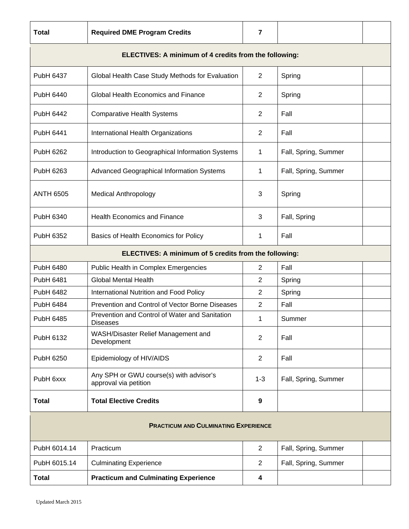| <b>Total</b>                                          | <b>Required DME Program Credits</b>                               | $\overline{7}$ |                      |  |  |
|-------------------------------------------------------|-------------------------------------------------------------------|----------------|----------------------|--|--|
| ELECTIVES: A minimum of 4 credits from the following: |                                                                   |                |                      |  |  |
| PubH 6437                                             | Global Health Case Study Methods for Evaluation                   | $\overline{2}$ | Spring               |  |  |
| PubH 6440                                             | Global Health Economics and Finance                               | $\overline{2}$ | Spring               |  |  |
| PubH 6442                                             | <b>Comparative Health Systems</b>                                 | $\overline{2}$ | Fall                 |  |  |
| PubH 6441                                             | International Health Organizations                                | $\overline{2}$ | Fall                 |  |  |
| PubH 6262                                             | Introduction to Geographical Information Systems                  | 1              | Fall, Spring, Summer |  |  |
| PubH 6263                                             | Advanced Geographical Information Systems                         | 1              | Fall, Spring, Summer |  |  |
| <b>ANTH 6505</b>                                      | <b>Medical Anthropology</b>                                       | 3              | Spring               |  |  |
| PubH 6340                                             | <b>Health Economics and Finance</b>                               | 3              | Fall, Spring         |  |  |
| PubH 6352                                             | Basics of Health Economics for Policy                             | 1              | Fall                 |  |  |
|                                                       | ELECTIVES: A minimum of 5 credits from the following:             |                |                      |  |  |
| PubH 6480                                             | Public Health in Complex Emergencies                              | $\overline{2}$ | Fall                 |  |  |
| PubH 6481                                             | <b>Global Mental Health</b>                                       | 2              | Spring               |  |  |
| <b>PubH 6482</b>                                      | International Nutrition and Food Policy                           | 2              | Spring               |  |  |
| PubH 6484                                             | Prevention and Control of Vector Borne Diseases                   | $\mathbf{2}$   | Fall                 |  |  |
| PubH 6485                                             | Prevention and Control of Water and Sanitation<br><b>Diseases</b> | 1              | Summer               |  |  |
| PubH 6132                                             | WASH/Disaster Relief Management and<br>Development                | $\overline{2}$ | Fall                 |  |  |
| PubH 6250                                             | Epidemiology of HIV/AIDS                                          | $\overline{2}$ | Fall                 |  |  |
| PubH 6xxx                                             | Any SPH or GWU course(s) with advisor's<br>approval via petition  | $1 - 3$        | Fall, Spring, Summer |  |  |
| <b>Total</b>                                          | <b>Total Elective Credits</b>                                     | 9              |                      |  |  |
| <b>PRACTICUM AND CULMINATING EXPERIENCE</b>           |                                                                   |                |                      |  |  |
| PubH 6014.14                                          | Practicum                                                         | $\overline{2}$ | Fall, Spring, Summer |  |  |
| PubH 6015.14                                          | <b>Culminating Experience</b>                                     | $\overline{c}$ | Fall, Spring, Summer |  |  |
| <b>Total</b>                                          | <b>Practicum and Culminating Experience</b>                       | 4              |                      |  |  |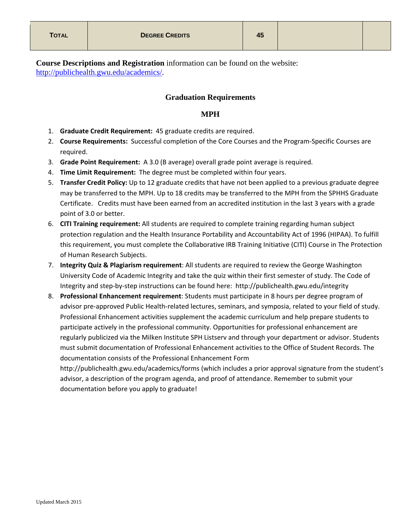**Course Descriptions and Registration** information can be found on the website: [http://publichealth.gwu.edu/academics/.](http://publichealth.gwu.edu/academics/)

## **Graduation Requirements**

# **MPH**

- 1. **Graduate Credit Requirement:** 45 graduate credits are required.
- 2. **Course Requirements:** Successful completion of the Core Courses and the Program-Specific Courses are required.
- 3. **Grade Point Requirement:** A 3.0 (B average) overall grade point average is required.
- 4. **Time Limit Requirement:** The degree must be completed within four years.
- 5. **Transfer Credit Policy:** Up to 12 graduate credits that have not been applied to a previous graduate degree may be transferred to the MPH. Up to 18 credits may be transferred to the MPH from the SPHHS Graduate Certificate. Credits must have been earned from an accredited institution in the last 3 years with a grade point of 3.0 or better.
- 6. **CITI Training requirement:** All students are required to complete training regarding human subject protection regulation and the Health Insurance Portability and Accountability Act of 1996 (HIPAA). To fulfill this requirement, you must complete the Collaborative IRB Training Initiative (CITI) Course in The Protection of Human Research Subjects.
- 7. **Integrity Quiz & Plagiarism requirement**: All students are required to review the George Washington University Code of Academic Integrity and take the quiz within their first semester of study. The Code of Integrity and step-by-step instructions can be found here: http://publichealth.gwu.edu/integrity
- 8. **Professional Enhancement requirement**: Students must participate in 8 hours per degree program of advisor pre-approved Public Health-related lectures, seminars, and symposia, related to your field of study. Professional Enhancement activities supplement the academic curriculum and help prepare students to participate actively in the professional community. Opportunities for professional enhancement are regularly publicized via the Milken Institute SPH Listserv and through your department or advisor. Students must submit documentation of Professional Enhancement activities to the Office of Student Records. The documentation consists of the Professional Enhancement Form

http://publichealth.gwu.edu/academics/forms (which includes a prior approval signature from the student's advisor, a description of the program agenda, and proof of attendance. Remember to submit your documentation before you apply to graduate!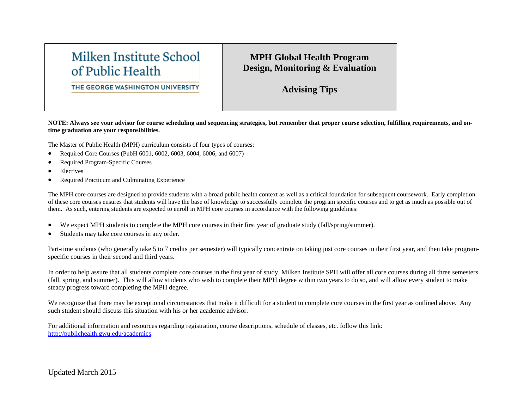# Milken Institute School of Public Health

# **MPH Global Health Program Design, Monitoring & Evaluation**

THE GEORGE WASHINGTON UNIVERSITY

**Advising Tips**

**NOTE: Always see your advisor for course scheduling and sequencing strategies, but remember that proper course selection, fulfilling requirements, and ontime graduation are your responsibilities.**

The Master of Public Health (MPH) curriculum consists of four types of courses:

- Required Core Courses (PubH 6001, 6002, 6003, 6004, 6006, and 6007)
- Required Program-Specific Courses
- **Electives**
- Required Practicum and Culminating Experience

The MPH core courses are designed to provide students with a broad public health context as well as a critical foundation for subsequent coursework. Early completion of these core courses ensures that students will have the base of knowledge to successfully complete the program specific courses and to get as much as possible out of them. As such, entering students are expected to enroll in MPH core courses in accordance with the following guidelines:

- We expect MPH students to complete the MPH core courses in their first year of graduate study (fall/spring/summer).
- Students may take core courses in any order.

Part-time students (who generally take 5 to 7 credits per semester) will typically concentrate on taking just core courses in their first year, and then take programspecific courses in their second and third years.

In order to help assure that all students complete core courses in the first year of study, Milken Institute SPH will offer all core courses during all three semesters (fall, spring, and summer). This will allow students who wish to complete their MPH degree within two years to do so, and will allow every student to make steady progress toward completing the MPH degree.

We recognize that there may be exceptional circumstances that make it difficult for a student to complete core courses in the first year as outlined above. Any such student should discuss this situation with his or her academic advisor.

For additional information and resources regarding registration, course descriptions, schedule of classes, etc. follow this link: [http://publichealth.gwu.edu/academics.](http://publichealth.gwu.edu/academics)

Updated March 2015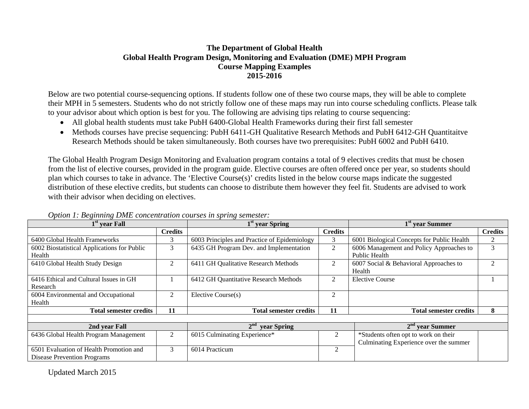# **The Department of Global Health Global Health Program Design, Monitoring and Evaluation (DME) MPH Program Course Mapping Examples 2015-2016**

Below are two potential course-sequencing options. If students follow one of these two course maps, they will be able to complete their MPH in 5 semesters. Students who do not strictly follow one of these maps may run into course scheduling conflicts. Please talk to your advisor about which option is best for you. The following are advising tips relating to course sequencing:

- All global health students must take PubH 6400-Global Health Frameworks during their first fall semester
- Methods courses have precise sequencing: PubH 6411-GH Qualitative Research Methods and PubH 6412-GH Quantitaitve Research Methods should be taken simultaneously. Both courses have two prerequisites: PubH 6002 and PubH 6410.

The Global Health Program Design Monitoring and Evaluation program contains a total of 9 electives credits that must be chosen from the list of elective courses, provided in the program guide. Elective courses are often offered once per year, so students should plan which courses to take in advance. The 'Elective Course(s)' credits listed in the below course maps indicate the suggested distribution of these elective credits, but students can choose to distribute them however they feel fit. Students are advised to work with their advisor when deciding on electives.

| $1st$ year Fall                             |                | 1 <sup>st</sup> year Spring                  |                | 1 <sup>st</sup> year Summer                |                |
|---------------------------------------------|----------------|----------------------------------------------|----------------|--------------------------------------------|----------------|
|                                             | <b>Credits</b> |                                              | <b>Credits</b> |                                            | <b>Credits</b> |
| 6400 Global Health Frameworks               | 3              | 6003 Principles and Practice of Epidemiology | 3              | 6001 Biological Concepts for Public Health | 2              |
| 6002 Biostatistical Applications for Public | 3              | 6435 GH Program Dev. and Implementation      | 2              | 6006 Management and Policy Approaches to   | 3              |
| Health                                      |                |                                              |                | Public Health                              |                |
| 6410 Global Health Study Design             | 2              | 6411 GH Qualitative Research Methods         | 2              | 6007 Social & Behavioral Approaches to     |                |
|                                             |                |                                              |                | Health                                     |                |
| 6416 Ethical and Cultural Issues in GH      |                | 6412 GH Quantitative Research Methods        | 2              | <b>Elective Course</b>                     |                |
| Research                                    |                |                                              |                |                                            |                |
| 6004 Environmental and Occupational         | 2              | Elective Course(s)                           | 2              |                                            |                |
| Health                                      |                |                                              |                |                                            |                |
| <b>Total semester credits</b>               | 11             | <b>Total semester credits</b>                | 11             | <b>Total semester credits</b>              | 8              |
|                                             |                |                                              |                |                                            |                |
| 2nd year Fall                               |                | 2 <sup>nd</sup><br>year Spring               |                | $2nd$ vear Summer                          |                |
| 6436 Global Health Program Management       | $\overline{2}$ | 6015 Culminating Experience*                 | 2              | *Students often opt to work on their       |                |
|                                             |                |                                              |                | Culminating Experience over the summer     |                |
| 6501 Evaluation of Health Promotion and     | 3              | 6014 Practicum                               | 2              |                                            |                |
| Disease Prevention Programs                 |                |                                              |                |                                            |                |

# *Option 1: Beginning DME concentration courses in spring semester:*

Updated March 2015